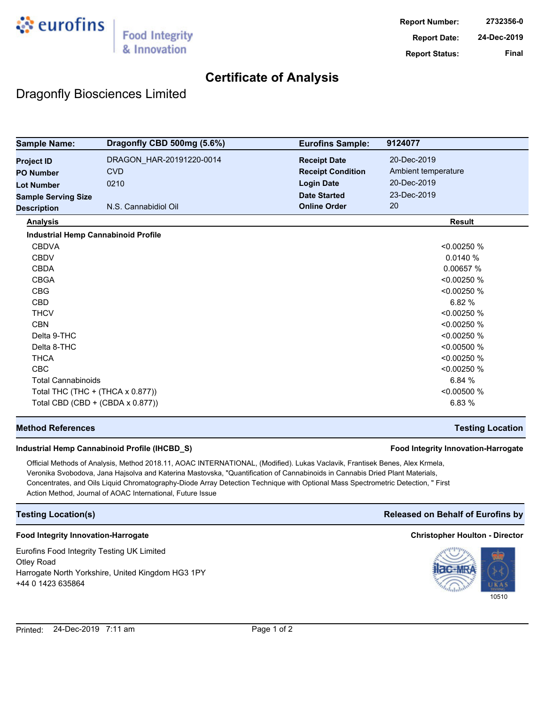

## **Certificate of Analysis**

## Dragonfly Biosciences Limited

| <b>Sample Name:</b>                        | Dragonfly CBD 500mg (5.6%) | <b>Eurofins Sample:</b>  | 9124077             |
|--------------------------------------------|----------------------------|--------------------------|---------------------|
| <b>Project ID</b>                          | DRAGON HAR-20191220-0014   | <b>Receipt Date</b>      | 20-Dec-2019         |
| <b>PO Number</b>                           | <b>CVD</b>                 | <b>Receipt Condition</b> | Ambient temperature |
| <b>Lot Number</b>                          | 0210                       | <b>Login Date</b>        | 20-Dec-2019         |
| <b>Sample Serving Size</b>                 |                            | <b>Date Started</b>      | 23-Dec-2019         |
| <b>Description</b>                         | N.S. Cannabidiol Oil       | <b>Online Order</b>      | 20                  |
| <b>Analysis</b>                            |                            |                          | <b>Result</b>       |
| <b>Industrial Hemp Cannabinoid Profile</b> |                            |                          |                     |
| <b>CBDVA</b>                               |                            |                          | <0.00250 %          |
| <b>CBDV</b>                                |                            |                          | 0.0140%             |
| <b>CBDA</b>                                |                            |                          | 0.00657 %           |
| <b>CBGA</b>                                |                            |                          | < 0.00250 %         |
| <b>CBG</b>                                 |                            |                          | < 0.00250 %         |
| <b>CBD</b>                                 |                            |                          | 6.82%               |
| <b>THCV</b>                                |                            |                          | < 0.00250 %         |
| <b>CBN</b>                                 |                            |                          | < 0.00250 %         |
| Delta 9-THC                                |                            |                          | <0.00250 %          |
| Delta 8-THC                                |                            |                          | < 0.00500 %         |
| <b>THCA</b>                                |                            |                          | < 0.00250 %         |
| <b>CBC</b>                                 |                            |                          | < 0.00250 %         |
| <b>Total Cannabinoids</b>                  |                            |                          | 6.84 %              |
| Total THC (THC + (THCA x 0.877))           |                            |                          | < 0.00500 %         |
| Total CBD (CBD + (CBDA x 0.877))           |                            |                          | 6.83 %              |

### **Method References Testing Location**

### **Industrial Hemp Cannabinoid Profile (IHCBD\_S) Food Integrity Innovation-Harrogate**

Official Methods of Analysis, Method 2018.11, AOAC INTERNATIONAL, (Modified). Lukas Vaclavik, Frantisek Benes, Alex Krmela, Veronika Svobodova, Jana Hajsolva and Katerina Mastovska, "Quantification of Cannabinoids in Cannabis Dried Plant Materials, Concentrates, and Oils Liquid Chromatography-Diode Array Detection Technique with Optional Mass Spectrometric Detection, " First Action Method, Journal of AOAC International, Future Issue

#### **Food Integrity Innovation-Harrogate Christopher Houlton - Director**

Eurofins Food Integrity Testing UK Limited Otley Road Harrogate North Yorkshire, United Kingdom HG3 1PY +44 0 1423 635864

## **Testing Location(s) Released on Behalf of Eurofins by**